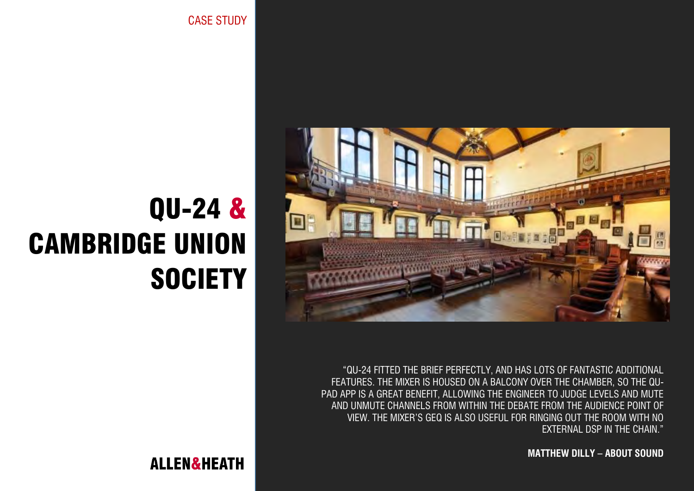CASE STUDY



"QU-24 FITTED THE BRIEF PERFECTLY, AND HAS LOTS OF FANTASTIC ADDITIONAL FEATURES. THE MIXER IS HOUSED ON A BALCONY OVER THE CHAMBER, SO THE QU-PAD APP IS A GREAT BENEFIT, ALLOWING THE ENGINEER TO JUDGE LEVELS AND MUTE AND UNMUTE CHANNELS FROM WITHIN THE DEBATE FROM THE AUDIENCE POINT OF VIEW. THE MIXER'S GEQ IS ALSO USEFUL FOR RINGING OUT THE ROOM WITH NO EXTERNAL DSP IN THE CHAIN."

**MATTHEW DILLY – ABOUT SOUND**

# QU-24 & CAMBRIDGE UNION **SOCIETY**

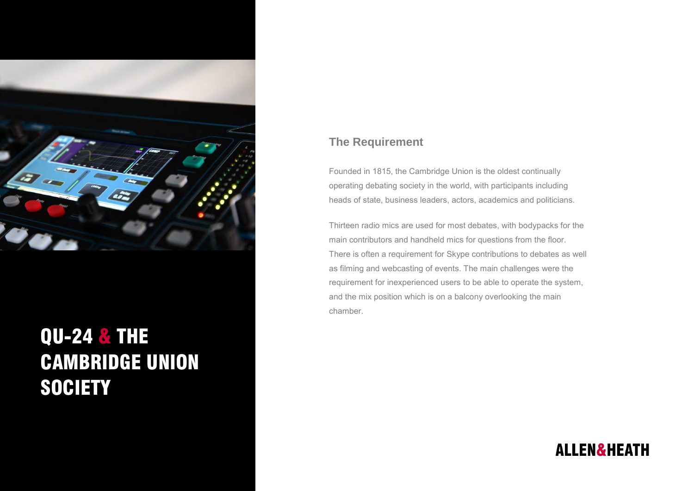

## QU-24 & THE CAMBRIDGE UNION **SOCIETY**

#### **The Requirement**

Founded in 1815, the Cambridge Union is the oldest continually operating debating society in the world, with participants including heads of state, business leaders, actors, academics and politicians.

Thirteen radio mics are used for most debates, with bodypacks for the main contributors and handheld mics for questions from the floor. There is often a requirement for Skype contributions to debates as well as filming and webcasting of events. The main challenges were the requirement for inexperienced users to be able to operate the system, and the mix position which is on a balcony overlooking the main chamber.

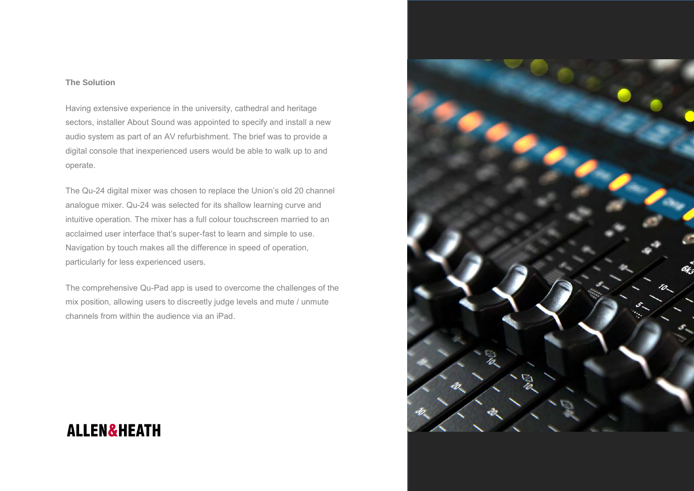#### **The Solution**

Having extensive experience in the university, cathedral and heritage sectors, installer About Sound was appointed to specify and install a new audio system as part of an AV refurbishment. The brief was to provide a digital console that inexperienced users would be able to walk up to and operate.

The Qu-24 digital mixer was chosen to replace the Union's old 20 channel analogue mixer. Qu-24 was selected for its shallow learning curve and intuitive operation. The mixer has a full colour touchscreen married to an acclaimed user interface that's super-fast to learn and simple to use. Navigation by touch makes all the difference in speed of operation, particularly for less experienced users.

The comprehensive Qu-Pad app is used to overcome the challenges of the mix position, allowing users to discreetly judge levels and mute / unmute channels from within the audience via an iPad.